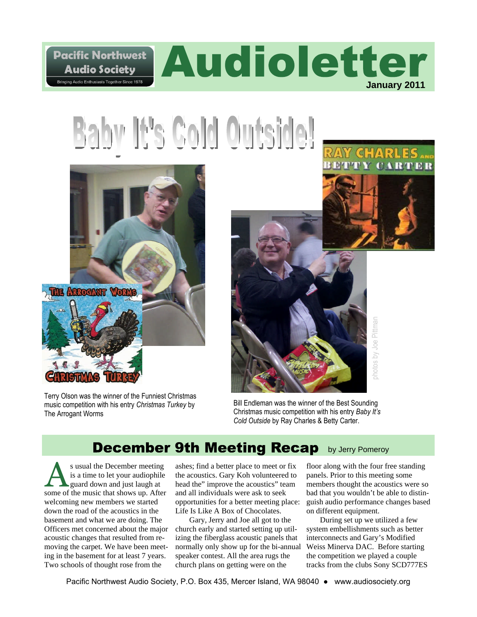

# Baby It's Cold Outside!



Terry Olson was the winner of the Funniest Christmas music competition with his entry *Christmas Turkey* by The Arrogant Worms



Bill Endleman was the winner of the Best Sounding Christmas music competition with his entry *Baby It's Cold Outside* by Ray Charles & Betty Carter.

#### **December 9th Meeting Recap** by Jerry Pomeroy

s usual the December meeting is a time to let your audiophile guard down and just laugh at some of the music that shows up. After welcoming new members we started down the road of the acoustics in the basement and what we are doing. The Officers met concerned about the major acoustic changes that resulted from removing the carpet. We have been meeting in the basement for at least 7 years. Two schools of thought rose from the

ashes; find a better place to meet or fix the acoustics. Gary Koh volunteered to head the" improve the acoustics" team and all individuals were ask to seek opportunities for a better meeting place: Life Is Like A Box of Chocolates.

Gary, Jerry and Joe all got to the church early and started setting up utilizing the fiberglass acoustic panels that normally only show up for the bi-annual speaker contest. All the area rugs the church plans on getting were on the

floor along with the four free standing panels. Prior to this meeting some members thought the acoustics were so bad that you wouldn't be able to distinguish audio performance changes based on different equipment.

*ARTER* 

During set up we utilized a few system embellishments such as better interconnects and Gary's Modified Weiss Minerva DAC. Before starting the competition we played a couple tracks from the clubs Sony SCD777ES

Pacific Northwest Audio Society, P.O. Box 435, Mercer Island, WA 98040 ● www.audiosociety.org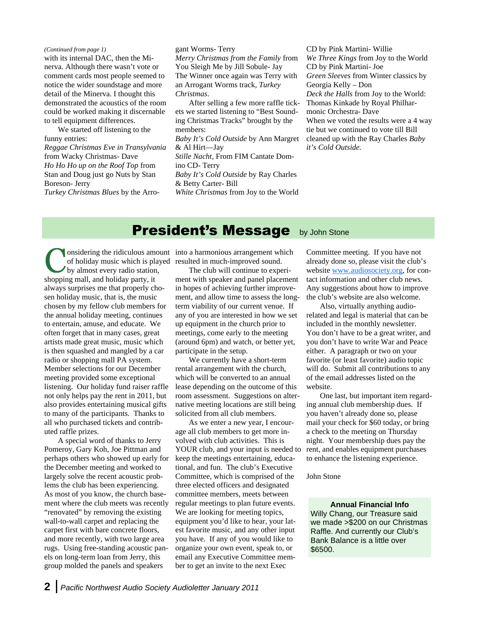with its internal DAC, then the Minerva. Although there wasn't vote or comment cards most people seemed to notice the wider soundstage and more detail of the Minerva. I thought this demonstrated the acoustics of the room could be worked making it discernable to tell equipment differences. *(Continued from page 1)*

We started off listening to the funny entries: *Reggae Christmas Eve in Transylvania* from Wacky Christmas- Dave *Ho Ho Ho up on the Roof Top* from Stan and Doug just go Nuts by Stan Boreson- Jerry

*Turkey Christmas Blues* by the Arro-

gant Worms- Terry

*Merry Christmas from the Family* from You Sleigh Me by Jill Sobule- Jay The Winner once again was Terry with an Arrogant Worms track, *Turkey Christmas*.

After selling a few more raffle tickets we started listening to "Best Sounding Christmas Tracks" brought by the members: *Baby It's Cold Outside* by Ann Margret & Al Hirt—Jay *Stille Nacht,* From FIM Cantate Domino CD- Terry *Baby It's Cold Outside* by Ray Charles & Betty Carter- Bill

*White Christmas* from Joy to the World

CD by Pink Martini- Willie *We Three Kings* from Joy to the World CD by Pink Martini- Joe *Green Sleeves* from Winter classics by Georgia Kelly – Don *Deck the Halls* from Joy to the World: Thomas Kinkade by Royal Philharmonic Orchestra- Dave When we voted the results were a 4 way tie but we continued to vote till Bill cleaned up with the Ray Charles *Baby it's Cold Outside.*

#### **President's Message** by John Stone

onsidering the ridiculous amount into a harmonious arrangement which by almost every radio station, shopping mall, and holiday party, it always surprises me that properly chosen holiday music, that is, the music chosen by my fellow club members for the annual holiday meeting, continues to entertain, amuse, and educate. We often forget that in many cases, great artists made great music, music which is then squashed and mangled by a car radio or shopping mall PA system. Member selections for our December meeting provided some exceptional listening. Our holiday fund raiser raffle not only helps pay the rent in 2011, but also provides entertaining musical gifts to many of the participants. Thanks to all who purchased tickets and contributed raffle prizes.

A special word of thanks to Jerry Pomeroy, Gary Koh, Joe Pittman and perhaps others who showed up early for the December meeting and worked to largely solve the recent acoustic problems the club has been experiencing. As most of you know, the church basement where the club meets was recently "renovated" by removing the existing wall-to-wall carpet and replacing the carpet first with bare concrete floors, and more recently, with two large area rugs. Using free-standing acoustic panels on long-term loan from Jerry, this group molded the panels and speakers

of holiday music which is played resulted in much-improved sound.

The club will continue to experiment with speaker and panel placement in hopes of achieving further improvement, and allow time to assess the longterm viability of our current venue. If any of you are interested in how we set up equipment in the church prior to meetings, come early to the meeting (around 6pm) and watch, or better yet, participate in the setup.

We currently have a short-term rental arrangement with the church, which will be converted to an annual lease depending on the outcome of this room assessment. Suggestions on alternative meeting locations are still being solicited from all club members.

As we enter a new year, I encourage all club members to get more involved with club activities. This is YOUR club, and your input is needed to keep the meetings entertaining, educational, and fun. The club's Executive Committee, which is comprised of the three elected officers and designated committee members, meets between regular meetings to plan future events. We are looking for meeting topics, equipment you'd like to hear, your latest favorite music, and any other input you have. If any of you would like to organize your own event, speak to, or email any Executive Committee member to get an invite to the next Exec

Committee meeting. If you have not already done so, please visit the club's website www.audiosociety.org, for contact information and other club news. Any suggestions about how to improve the club's website are also welcome.

Also, virtually anything audiorelated and legal is material that can be included in the monthly newsletter. You don't have to be a great writer, and you don't have to write War and Peace either. A paragraph or two on your favorite (or least favorite) audio topic will do. Submit all contributions to any of the email addresses listed on the website.

One last, but important item regarding annual club membership dues. If you haven't already done so, please mail your check for \$60 today, or bring a check to the meeting on Thursday night. Your membership dues pay the rent, and enables equipment purchases to enhance the listening experience.

### John Stone

### **Annual Financial Info**

Willy Chang, our Treasure said we made >\$200 on our Christmas Raffle. And currently our Club's Bank Balance is a little over \$6500.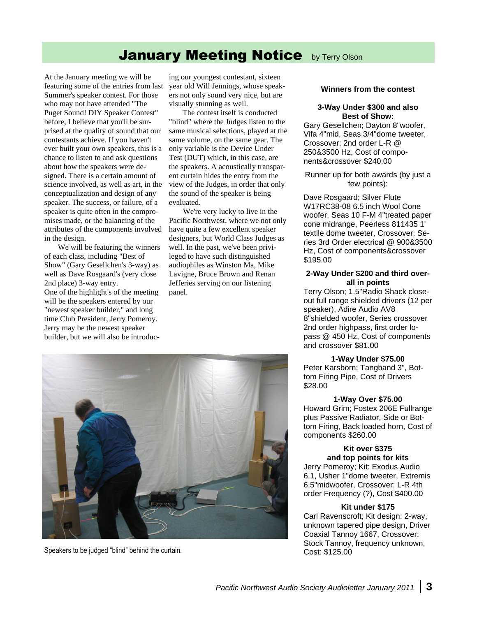### **January Meeting Notice by Terry Olson**

At the January meeting we will be featuring some of the entries from last Summer's speaker contest. For those who may not have attended "The Puget Sound! DIY Speaker Contest" before, I believe that you'll be surprised at the quality of sound that our contestants achieve. If you haven't ever built your own speakers, this is a chance to listen to and ask questions about how the speakers were designed. There is a certain amount of science involved, as well as art, in the conceptualization and design of any speaker. The success, or failure, of a speaker is quite often in the compromises made, or the balancing of the attributes of the components involved in the design.

We will be featuring the winners of each class, including "Best of Show" (Gary Gesellchen's 3-way) as well as Dave Rosgaard's (very close 2nd place) 3-way entry. One of the highlight's of the meeting will be the speakers entered by our "newest speaker builder," and long time Club President, Jerry Pomeroy. Jerry may be the newest speaker builder, but we will also be introduc-

ing our youngest contestant, sixteen year old Will Jennings, whose speakers not only sound very nice, but are visually stunning as well.

The contest itself is conducted "blind" where the Judges listen to the same musical selections, played at the same volume, on the same gear. The only variable is the Device Under Test (DUT) which, in this case, are the speakers. A acoustically transparent curtain hides the entry from the view of the Judges, in order that only the sound of the speaker is being evaluated.

We're very lucky to live in the Pacific Northwest, where we not only have quite a few excellent speaker designers, but World Class Judges as well. In the past, we've been privileged to have such distinguished audiophiles as Winston Ma, Mike Lavigne, Bruce Brown and Renan Jefferies serving on our listening panel.



Speakers to be judged "blind" behind the curtain. Cost: \$125.00

### **Winners from the contest**

### **3-Way Under \$300 and also Best of Show:**

Gary Gesellchen; Dayton 8"woofer, Vifa 4"mid, Seas 3/4"dome tweeter, Crossover: 2nd order L-R @ 250&3500 Hz, Cost of components&crossover \$240.00

### Runner up for both awards (by just a few points):

Dave Rosgaard; Silver Flute W17RC38-08 6.5 inch Wool Cone woofer, Seas 10 F-M 4"treated paper cone midrange, Peerless 811435 1' textile dome tweeter, Crossover: Series 3rd Order electrical @ 900&3500 Hz, Cost of components&crossover \$195.00

### **2-Way Under \$200 and third overall in points**

Terry Olson; 1.5"Radio Shack closeout full range shielded drivers (12 per speaker), Adire Audio AV8 8"shielded woofer, Series crossover 2nd order highpass, first order lopass @ 450 Hz, Cost of components and crossover \$81.00

### **1-Way Under \$75.00**

Peter Karsborn; Tangband 3", Bottom Firing Pipe, Cost of Drivers \$28.00

### **1-Way Over \$75.00**

Howard Grim; Fostex 206E Fullrange plus Passive Radiator, Side or Bottom Firing, Back loaded horn, Cost of components \$260.00

### **Kit over \$375 and top points for kits**

Jerry Pomeroy; Kit: Exodus Audio 6.1, Usher 1"dome tweeter, Extremis 6.5"midwoofer, Crossover: L-R 4th order Frequency (?), Cost \$400.00

### **Kit under \$175**

Carl Ravenscroft; Kit design: 2-way, unknown tapered pipe design, Driver Coaxial Tannoy 1667, Crossover: Stock Tannoy, frequency unknown,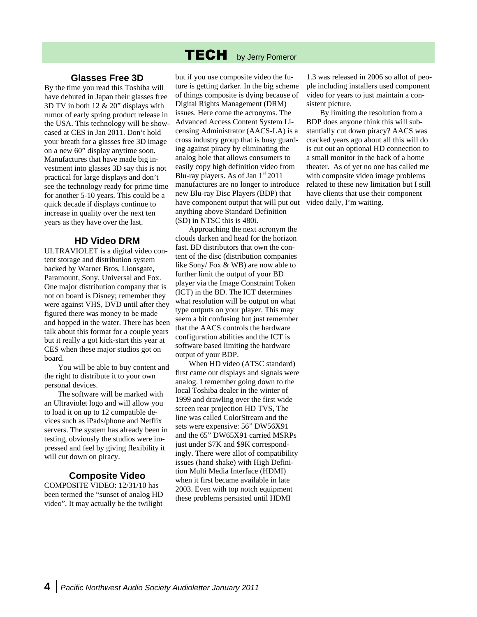#### **TECH** by Jerry Pomeror

### **Glasses Free 3D**

By the time you read this Toshiba will have debuted in Japan their glasses free 3D TV in both 12 & 20" displays with rumor of early spring product release in the USA. This technology will be showcased at CES in Jan 2011. Don't hold your breath for a glasses free 3D image on a new 60" display anytime soon. Manufactures that have made big investment into glasses 3D say this is not practical for large displays and don't see the technology ready for prime time for another 5-10 years. This could be a quick decade if displays continue to increase in quality over the next ten years as they have over the last.

### **HD Video DRM**

ULTRAVIOLET is a digital video content storage and distribution system backed by Warner Bros, Lionsgate, Paramount, Sony, Universal and Fox. One major distribution company that is not on board is Disney; remember they were against VHS, DVD until after they figured there was money to be made and hopped in the water. There has been talk about this format for a couple years but it really a got kick-start this year at CES when these major studios got on board.

You will be able to buy content and the right to distribute it to your own personal devices.

The software will be marked with an Ultraviolet logo and will allow you to load it on up to 12 compatible devices such as iPads/phone and Netflix servers. The system has already been in testing, obviously the studios were impressed and feel by giving flexibility it will cut down on piracy.

### **Composite Video**

COMPOSITE VIDEO: 12/31/10 has been termed the "sunset of analog HD video", It may actually be the twilight but if you use composite video the future is getting darker. In the big scheme of things composite is dying because of Digital Rights Management (DRM) issues. Here come the acronyms. The Advanced Access Content System Licensing Administrator (AACS-LA) is a cross industry group that is busy guarding against piracy by eliminating the analog hole that allows consumers to easily copy high definition video from Blu-ray players. As of Jan  $1<sup>st</sup> 2011$ manufactures are no longer to introduce new Blu-ray Disc Players (BDP) that have component output that will put out anything above Standard Definition (SD) in NTSC this is 480i.

Approaching the next acronym the clouds darken and head for the horizon fast. BD distributors that own the content of the disc (distribution companies like Sony/ Fox & WB) are now able to further limit the output of your BD player via the Image Constraint Token (ICT) in the BD. The ICT determines what resolution will be output on what type outputs on your player. This may seem a bit confusing but just remember that the AACS controls the hardware configuration abilities and the ICT is software based limiting the hardware output of your BDP.

When HD video (ATSC standard) first came out displays and signals were analog. I remember going down to the local Toshiba dealer in the winter of 1999 and drawling over the first wide screen rear projection HD TVS, The line was called ColorStream and the sets were expensive: 56" DW56X91 and the 65" DW65X91 carried MSRPs just under \$7K and \$9K correspondingly. There were allot of compatibility issues (hand shake) with High Definition Multi Media Interface (HDMI) when it first became available in late 2003. Even with top notch equipment these problems persisted until HDMI

1.3 was released in 2006 so allot of people including installers used component video for years to just maintain a consistent picture.

By limiting the resolution from a BDP does anyone think this will substantially cut down piracy? AACS was cracked years ago about all this will do is cut out an optional HD connection to a small monitor in the back of a home theater. As of yet no one has called me with composite video image problems related to these new limitation but I still have clients that use their component video daily, I'm waiting.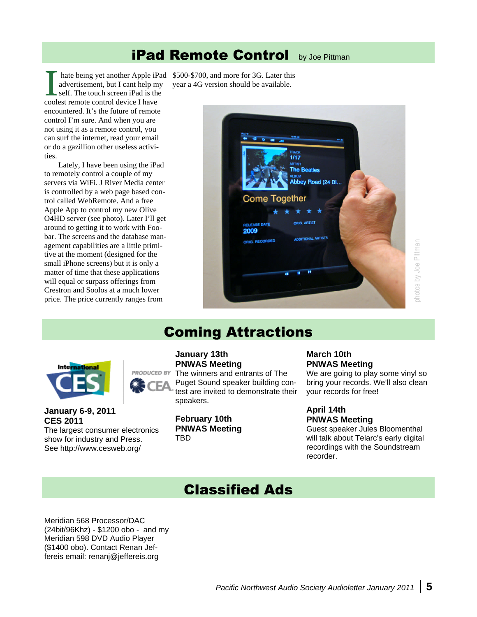### **iPad Remote Control** by Joe Pittman

advertisement, but I cant help my self. The touch screen iPad is the coolest remote control device I have encountered. It's the future of remote control I'm sure. And when you are not using it as a remote control, you can surf the internet, read your email or do a gazillion other useless activities.

Lately, I have been using the iPad to remotely control a couple of my servers via WiFi. J River Media center is controlled by a web page based control called WebRemote. And a free Apple App to control my new Olive O4HD server (see photo). Later I'll get around to getting it to work with Foobar. The screens and the database management capabilities are a little primitive at the moment (designed for the small iPhone screens) but it is only a matter of time that these applications will equal or surpass offerings from Crestron and Soolos at a much lower price. The price currently ranges from

hate being yet another Apple iPad \$500-\$700, and more for 3G. Later this year a 4G version should be available.



## photos by Joe Pittman photos by Joe Pittman

### **Coming Attractions**



### **January 6-9, 2011 CES 2011**

The largest consumer electronics show for industry and Press. See http://www.cesweb.org/

### **January 13th PNWAS Meeting**

PRODUCED BY The winners and entrants of The Puget Sound speaker building contest are invited to demonstrate their speakers.

> **February 10th PNWAS Meeting** TBD

### **March 10th PNWAS Meeting**

We are going to play some vinyl so bring your records. We'll also clean your records for free!

### **April 14th PNWAS Meeting**

Guest speaker Jules Bloomenthal will talk about Telarc's early digital recordings with the Soundstream recorder.

### **Classified Ads**

Meridian 568 Processor/DAC (24bit/96Khz) - \$1200 obo - and my Meridian 598 DVD Audio Player (\$1400 obo). Contact Renan Jeffereis email: renanj@jeffereis.org

*Pacific Northwest Audio Society Audioletter January 2011* **5**